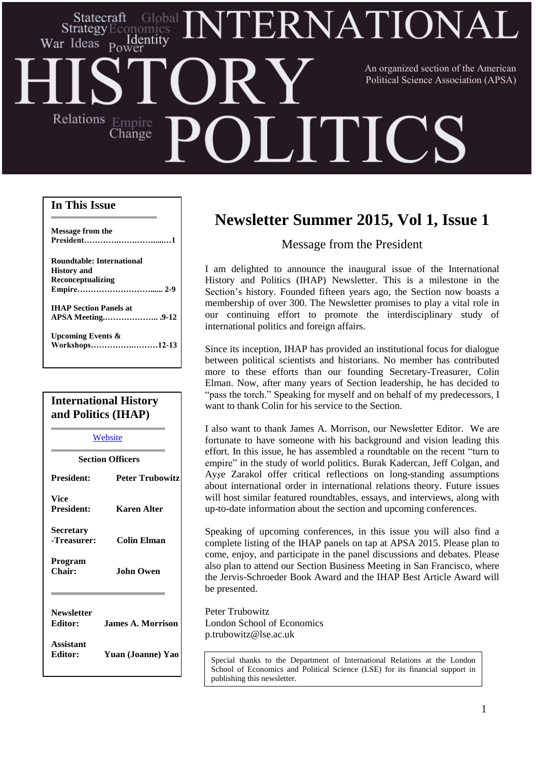# ERNATIONA Statecraft Identity War Ideas Power An organized section of the American Political Science Association (APSA)Relations Empire **HILLE** Change

# **In This Issue**

| Message from the                 |  |
|----------------------------------|--|
| <b>Roundtable: International</b> |  |
| <b>History</b> and               |  |
| Reconceptualizing                |  |
|                                  |  |
| <b>IHAP Section Panels at</b>    |  |
|                                  |  |
| Upcoming Events $\&$             |  |
| Workshops12-13                   |  |

# **International History and Politics (IHAP)**

| Website                             |                        |  |
|-------------------------------------|------------------------|--|
| <b>Section Officers</b>             |                        |  |
| <b>President:</b>                   | <b>Peter Trubowitz</b> |  |
| Vice<br><b>President:</b>           | Karen Alter            |  |
| Secretary<br>-Treasurer:            | Colin Elman            |  |
| Program<br>Chair:                   | <b>John Owen</b>       |  |
| <b>Newsletter</b><br><b>Editor:</b> | James A. Morrison      |  |
| Assistant<br><b>Editor:</b>         | Yuan (Joanne) Yao      |  |

# **Newsletter Summer 2015, Vol 1, Issue 1**

# Message from the President

I am delighted to announce the inaugural issue of the International History and Politics (IHAP) Newsletter. This is a milestone in the Section's history. Founded fifteen years ago, the Section now boasts a membership of over 300. The Newsletter promises to play a vital role in our continuing effort to promote the interdisciplinary study of international politics and foreign affairs.

Since its inception, IHAP has provided an institutional focus for dialogue between political scientists and historians. No member has contributed more to these efforts than our founding Secretary-Treasurer, Colin Elman. Now, after many years of Section leadership, he has decided to "pass the torch." Speaking for myself and on behalf of my predecessors, I want to thank Colin for his service to the Section.

I also want to thank James A. Morrison, our Newsletter Editor. We are fortunate to have someone with his background and vision leading this effort. In this issue, he has assembled a roundtable on the recent "turn to empire" in the study of world politics. Burak Kadercan, Jeff Colgan, and Ay*ş*e Zarakol offer critical reflections on long-standing assumptions about international order in international relations theory. Future issues will host similar featured roundtables, essays, and interviews, along with up-to-date information about the section and upcoming conferences.

Speaking of upcoming conferences, in this issue you will also find a complete listing of the IHAP panels on tap at APSA 2015. Please plan to come, enjoy, and participate in the panel discussions and debates. Please also plan to attend our Section Business Meeting in San Francisco, where the Jervis-Schroeder Book Award and the IHAP Best Article Award will be presented.

Peter Trubowitz London School of Economics p.trubowitz@lse.ac.uk

Special thanks to the Department of International Relations at the London School of Economics and Political Science (LSE) for its financial support in publishing this newsletter.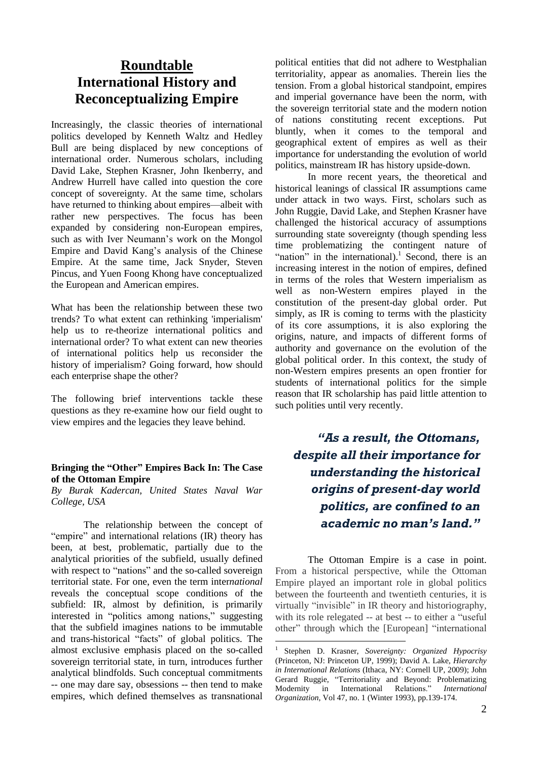# **Roundtable International History and Reconceptualizing Empire**

Increasingly, the classic theories of international politics developed by Kenneth Waltz and Hedley Bull are being displaced by new conceptions of international order. Numerous scholars, including David Lake, Stephen Krasner, John Ikenberry, and Andrew Hurrell have called into question the core concept of sovereignty. At the same time, scholars have returned to thinking about empires—albeit with rather new perspectives. The focus has been expanded by considering non-European empires, such as with Iver Neumann's work on the Mongol Empire and David Kang's analysis of the Chinese Empire. At the same time, Jack Snyder, Steven Pincus, and Yuen Foong Khong have conceptualized the European and American empires.

What has been the relationship between these two trends? To what extent can rethinking 'imperialism' help us to re-theorize international politics and international order? To what extent can new theories of international politics help us reconsider the history of imperialism? Going forward, how should each enterprise shape the other?

The following brief interventions tackle these questions as they re-examine how our field ought to view empires and the legacies they leave behind.

# **Bringing the "Other" Empires Back In: The Case of the Ottoman Empire**

*By Burak Kadercan, United States [Naval](https://www.usnwc.edu/Departments---Colleges/Strategy-and-Policy.aspx) War [College,](https://www.usnwc.edu/Departments---Colleges/Strategy-and-Policy.aspx) USA*

The relationship between the concept of "empire" and international relations (IR) theory has been, at best, problematic, partially due to the analytical priorities of the subfield, usually defined with respect to "nations" and the so-called sovereign territorial state. For one, even the term inter*national* reveals the conceptual scope conditions of the subfield: IR, almost by definition, is primarily interested in "politics among nations," suggesting that the subfield imagines nations to be immutable and trans-historical "facts" of global politics. The almost exclusive emphasis placed on the so-called sovereign territorial state, in turn, introduces further analytical blindfolds. Such conceptual commitments -- one may dare say, obsessions -- then tend to make empires, which defined themselves as transnational

political entities that did not adhere to Westphalian territoriality, appear as anomalies. Therein lies the tension. From a global historical standpoint, empires and imperial governance have been the norm, with the sovereign territorial state and the modern notion of nations constituting recent exceptions. Put bluntly, when it comes to the temporal and geographical extent of empires as well as their importance for understanding the evolution of world politics, mainstream IR has history upside-down.

In more recent years, the theoretical and historical leanings of classical IR assumptions came under attack in two ways. First, scholars such as John Ruggie, David Lake, and Stephen Krasner have challenged the historical accuracy of assumptions surrounding state sovereignty (though spending less time problematizing the contingent nature of "nation" in the international).<sup>1</sup> Second, there is an increasing interest in the notion of empires, defined in terms of the roles that Western imperialism as well as non-Western empires played in the constitution of the present-day global order. Put simply, as IR is coming to terms with the plasticity of its core assumptions, it is also exploring the origins, nature, and impacts of different forms of authority and governance on the evolution of the global political order. In this context, the study of non-Western empires presents an open frontier for students of international politics for the simple reason that IR scholarship has paid little attention to such polities until very recently.

*"As a result, the Ottomans, despite all their importance for understanding the historical origins of present-day world politics, are confined to an academic no man's land."*

The Ottoman Empire is a case in point. From a historical perspective, while the Ottoman Empire played an important role in global politics between the fourteenth and twentieth centuries, it is virtually "invisible" in IR theory and historiography, with its role relegated -- at best -- to either a "useful other" through which the [European] "international

<u>.</u>

<sup>1</sup> Stephen D. Krasner, *Sovereignty: Organized Hypocrisy* (Princeton, NJ: Princeton UP, 1999); David A. Lake, *Hierarchy in International Relations* (Ithaca, NY: Cornell UP, 2009); John Gerard Ruggie, "Territoriality and Beyond: Problematizing Modernity in International Relations." *International Organization,* Vol 47, no. 1 (Winter 1993), pp.139-174.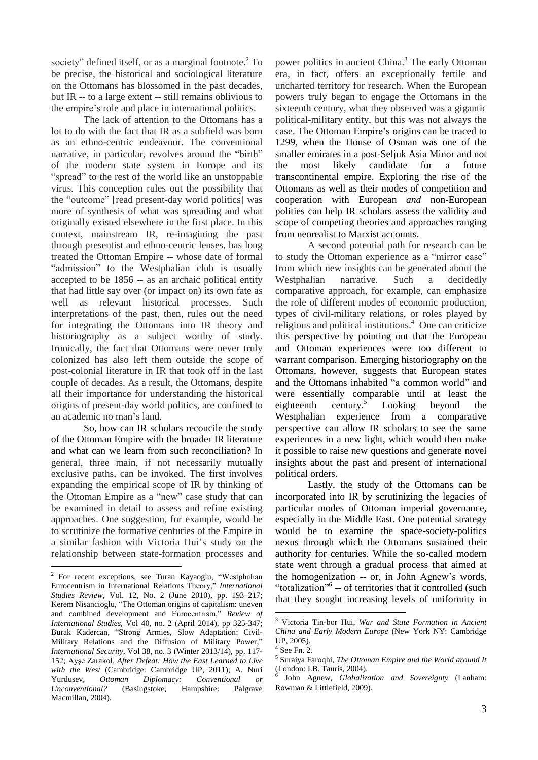society" defined itself, or as a marginal footnote.<sup>2</sup> To be precise, the historical and sociological literature on the Ottomans has blossomed in the past decades, but IR -- to a large extent -- still remains oblivious to the empire's role and place in international politics.

The lack of attention to the Ottomans has a lot to do with the fact that IR as a subfield was born as an ethno-centric endeavour. The conventional narrative, in particular, revolves around the "birth" of the modern state system in Europe and its "spread" to the rest of the world like an unstoppable virus. This conception rules out the possibility that the "outcome" [read present-day world politics] was more of synthesis of what was spreading and what originally existed elsewhere in the first place. In this context, mainstream IR, re-imagining the past through presentist and ethno-centric lenses, has long treated the Ottoman Empire -- whose date of formal "admission" to the Westphalian club is usually accepted to be 1856 -- as an archaic political entity that had little say over (or impact on) its own fate as well as relevant historical processes. Such interpretations of the past, then, rules out the need for integrating the Ottomans into IR theory and historiography as a subject worthy of study. Ironically, the fact that Ottomans were never truly colonized has also left them outside the scope of post-colonial literature in IR that took off in the last couple of decades. As a result, the Ottomans, despite all their importance for understanding the historical origins of present-day world politics, are confined to an academic no man's land.

So, how can IR scholars reconcile the study of the Ottoman Empire with the broader IR literature and what can we learn from such reconciliation? In general, three main, if not necessarily mutually exclusive paths, can be invoked. The first involves expanding the empirical scope of IR by thinking of the Ottoman Empire as a "new" case study that can be examined in detail to assess and refine existing approaches. One suggestion, for example, would be to scrutinize the formative centuries of the Empire in a similar fashion with Victoria Hui's study on the relationship between state-formation processes and

<u>.</u>

power politics in ancient China.<sup>3</sup> The early Ottoman era, in fact, offers an exceptionally fertile and uncharted territory for research. When the European powers truly began to engage the Ottomans in the sixteenth century, what they observed was a gigantic political-military entity, but this was not always the case. The Ottoman Empire's origins can be traced to 1299, when the House of Osman was one of the smaller emirates in a post-Seljuk Asia Minor and not the most likely candidate for a future transcontinental empire. Exploring the rise of the Ottomans as well as their modes of competition and cooperation with European *and* non-European polities can help IR scholars assess the validity and scope of competing theories and approaches ranging from neorealist to Marxist accounts.

A second potential path for research can be to study the Ottoman experience as a "mirror case" from which new insights can be generated about the Westphalian narrative. Such a decidedly comparative approach, for example, can emphasize the role of different modes of economic production, types of civil-military relations, or roles played by religious and political institutions.<sup>4</sup> One can criticize this perspective by pointing out that the European and Ottoman experiences were too different to warrant comparison. Emerging historiography on the Ottomans, however, suggests that European states and the Ottomans inhabited "a common world" and were essentially comparable until at least the eighteenth century.<sup>5</sup> Looking beyond the Westphalian experience from a comparative perspective can allow IR scholars to see the same experiences in a new light, which would then make it possible to raise new questions and generate novel insights about the past and present of international political orders.

Lastly, the study of the Ottomans can be incorporated into IR by scrutinizing the legacies of particular modes of Ottoman imperial governance, especially in the Middle East. One potential strategy would be to examine the space-society-politics nexus through which the Ottomans sustained their authority for centuries. While the so-called modern state went through a gradual process that aimed at the homogenization -- or, in John Agnew's words, "totalization"<sup>6</sup> -- of territories that it controlled (such that they sought increasing levels of uniformity in

<sup>&</sup>lt;sup>2</sup> For recent exceptions, see Turan Kayaoglu, "Westphalian Eurocentrism in International Relations Theory," *International Studies Review*, Vol. 12, No. 2 (June 2010), pp. 193–217; Kerem Nisancioglu, "The Ottoman origins of capitalism: uneven and combined development and Eurocentrism," *Review of International Studies*, Vol 40, no. 2 (April 2014), pp 325-347; Burak Kadercan, "Strong Armies, Slow Adaptation: Civil-Military Relations and the Diffusion of Military Power," *International Security,* Vol 38, no. 3 (Winter 2013/14), pp. 117- 152; Ayşe Zarakol, *After Defeat: How the East Learned to Live with the West* (Cambridge: Cambridge UP, 2011); A. Nuri Yurdusev, *Ottoman Diplomacy: Conventional or Unconventional?* (Basingstoke, Hampshire: Palgrave Macmillan, 2004).

<sup>&</sup>lt;u>.</u> <sup>3</sup> Victoria Tin-bor Hui, *War and State Formation in Ancient China and Early Modern Europe* (New York NY: Cambridge UP, 2005).

<sup>4</sup> See Fn. 2.

<sup>5</sup> Suraiya Faroqhi, *The Ottoman Empire and the World around It* (London: I.B. Tauris, 2004).

<sup>6</sup> John Agnew, *Globalization and Sovereignty* (Lanham: Rowman & Littlefield, 2009).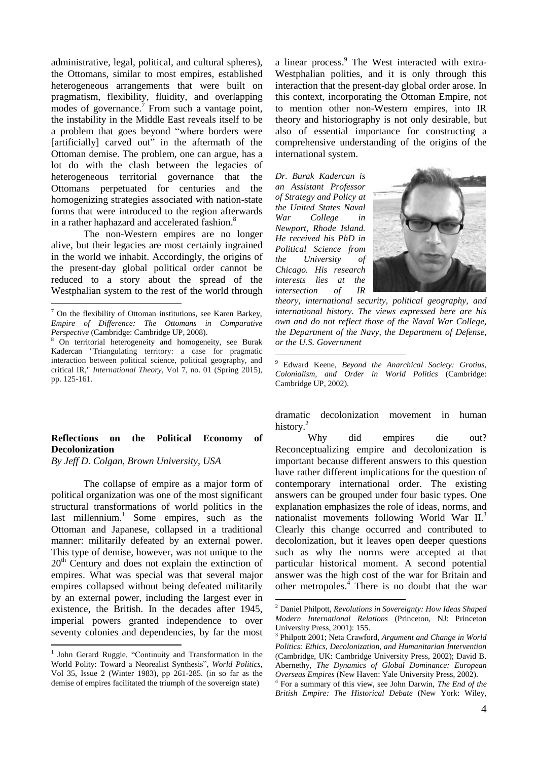administrative, legal, political, and cultural spheres), the Ottomans, similar to most empires, established heterogeneous arrangements that were built on pragmatism, flexibility, fluidity, and overlapping modes of governance. $\frac{7}{1}$  From such a vantage point, the instability in the Middle East reveals itself to be a problem that goes beyond "where borders were [artificially] carved out" in the aftermath of the Ottoman demise. The problem, one can argue, has a lot do with the clash between the legacies of heterogeneous territorial governance that the Ottomans perpetuated for centuries and the homogenizing strategies associated with nation-state forms that were introduced to the region afterwards in a rather haphazard and accelerated fashion.<sup>8</sup>

The non-Western empires are no longer alive, but their legacies are most certainly ingrained in the world we inhabit. Accordingly, the origins of the present-day global political order cannot be reduced to a story about the spread of the Westphalian system to the rest of the world through

<u>.</u>

1

# **Reflections on the Political Economy of Decolonization**

*By Jeff D. Colgan, Brown University, USA*

The collapse of empire as a major form of political organization was one of the most significant structural transformations of world politics in the last millennium.<sup>1</sup> Some empires, such as the Ottoman and Japanese, collapsed in a traditional manner: militarily defeated by an external power. This type of demise, however, was not unique to the  $20<sup>th</sup>$  Century and does not explain the extinction of empires. What was special was that several major empires collapsed without being defeated militarily by an external power, including the largest ever in existence, the British. In the decades after 1945, imperial powers granted independence to over seventy colonies and dependencies, by far the most

a linear process.<sup>9</sup> The West interacted with extra-Westphalian polities, and it is only through this interaction that the present-day global order arose. In this context, incorporating the Ottoman Empire, not to mention other non-Western empires, into IR theory and historiography is not only desirable, but also of essential importance for constructing a comprehensive understanding of the origins of the international system.

*Dr. Burak Kadercan is an Assistant Professor of Strategy and Policy at the United States Naval War College in Newport, Rhode Island. He received his PhD in Political Science from the University of Chicago. His research interests lies at the intersection of IR*

1

<u>.</u>



*theory, international security, political geography, and international history. The views expressed here are his own and do not reflect those of the Naval War College, the Department of the Navy, the Department of Defense, or the U.S. Government*

dramatic decolonization movement in human history.<sup>2</sup>

Why did empires die out? Reconceptualizing empire and decolonization is important because different answers to this question have rather different implications for the question of contemporary international order. The existing answers can be grouped under four basic types. One explanation emphasizes the role of ideas, norms, and nationalist movements following World War II.<sup>3</sup> Clearly this change occurred and contributed to decolonization, but it leaves open deeper questions such as why the norms were accepted at that particular historical moment. A second potential answer was the high cost of the war for Britain and other metropoles.<sup>4</sup> There is no doubt that the war

 $7$  On the flexibility of Ottoman institutions, see Karen Barkey, *Empire of Difference: The Ottomans in Comparative Perspective* (Cambridge: Cambridge UP, 2008).

<sup>8</sup> On territorial heterogeneity and homogeneity, see Burak Kadercan "Triangulating territory: a case for pragmatic interaction between political science, political geography, and critical IR," *International Theory*, Vol 7, no. 01 (Spring 2015), pp. 125-161.

<sup>&</sup>lt;sup>1</sup> John Gerard Ruggie, "Continuity and Transformation in the World Polity: Toward a Neorealist Synthesis", *World Politics*, Vol 35, Issue 2 (Winter 1983), pp 261-285. (in so far as the demise of empires facilitated the triumph of the sovereign state)

<sup>9</sup> Edward Keene, *Beyond the Anarchical Society: Grotius, Colonialism, and Order in World Politics* (Cambridge: Cambridge UP, 2002).

<sup>2</sup> Daniel Philpott, *Revolutions in Sovereignty: How Ideas Shaped Modern International Relations* (Princeton, NJ: Princeton University Press, 2001): 155.

<sup>3</sup> Philpott 2001; Neta Crawford, *Argument and Change in World Politics: Ethics, Decolonization, and Humanitarian Intervention* (Cambridge, UK: Cambridge University Press, 2002); David B. Abernethy, *The Dynamics of Global Dominance: European Overseas Empires* (New Haven: Yale University Press, 2002).

<sup>4</sup> For a summary of this view, see John Darwin, *The End of the British Empire: The Historical Debate* (New York: Wiley,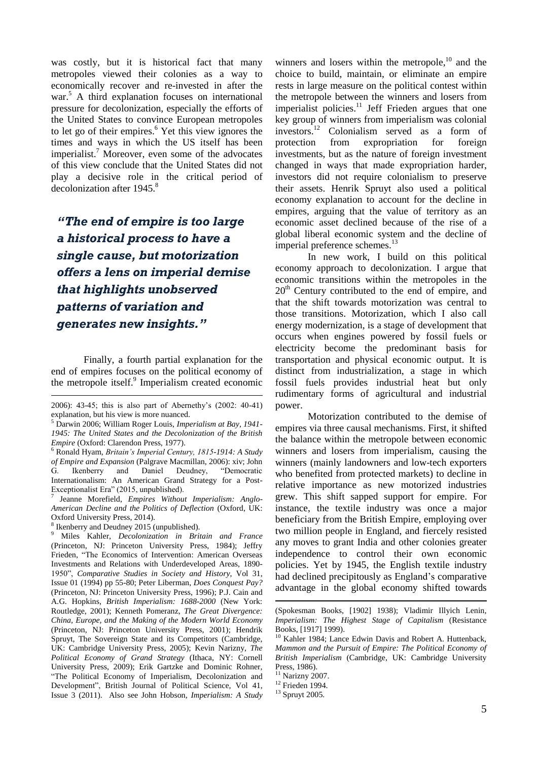was costly, but it is historical fact that many metropoles viewed their colonies as a way to economically recover and re-invested in after the war.<sup>5</sup> A third explanation focuses on international pressure for decolonization, especially the efforts of the United States to convince European metropoles to let go of their empires.<sup>6</sup> Yet this view ignores the times and ways in which the US itself has been imperialist.<sup>7</sup> Moreover, even some of the advocates of this view conclude that the United States did not play a decisive role in the critical period of decolonization after 1945.<sup>8</sup>

*"The end of empire is too large a historical process to have a single cause, but motorization offers a lens on imperial demise that highlights unobserved patterns of variation and generates new insights."*

Finally, a fourth partial explanation for the end of empires focuses on the political economy of the metropole itself.<sup>9</sup> Imperialism created economic

7 Jeanne Morefield, *Empires Without Imperialism: Anglo-American Decline and the Politics of Deflection* (Oxford, UK: Oxford University Press, 2014).

<sup>8</sup> Ikenberry and Deudney 2015 (unpublished).

1

winners and losers within the metropole, $^{10}$  and the choice to build, maintain, or eliminate an empire rests in large measure on the political contest within the metropole between the winners and losers from imperialist policies.<sup>11</sup> Jeff Frieden argues that one key group of winners from imperialism was colonial investors.<sup>12</sup> Colonialism served as a form of protection from expropriation for foreign investments, but as the nature of foreign investment changed in ways that made expropriation harder, investors did not require colonialism to preserve their assets. Henrik Spruyt also used a political economy explanation to account for the decline in empires, arguing that the value of territory as an economic asset declined because of the rise of a global liberal economic system and the decline of imperial preference schemes.<sup>13</sup>

In new work, I build on this political economy approach to decolonization. I argue that economic transitions within the metropoles in the  $20<sup>th</sup>$  Century contributed to the end of empire, and that the shift towards motorization was central to those transitions. Motorization, which I also call energy modernization, is a stage of development that occurs when engines powered by fossil fuels or electricity become the predominant basis for transportation and physical economic output. It is distinct from industrialization, a stage in which fossil fuels provides industrial heat but only rudimentary forms of agricultural and industrial power.

Motorization contributed to the demise of empires via three causal mechanisms. First, it shifted the balance within the metropole between economic winners and losers from imperialism, causing the winners (mainly landowners and low-tech exporters who benefited from protected markets) to decline in relative importance as new motorized industries grew. This shift sapped support for empire. For instance, the textile industry was once a major beneficiary from the British Empire, employing over two million people in England, and fiercely resisted any moves to grant India and other colonies greater independence to control their own economic policies. Yet by 1945, the English textile industry had declined precipitously as England's comparative advantage in the global economy shifted towards

1

<sup>2006): 43-45;</sup> this is also part of Abernethy's (2002: 40-41) explanation, but his view is more nuanced.

<sup>5</sup> Darwin 2006; William Roger Louis, *Imperialism at Bay, 1941- 1945: The United States and the Decolonization of the British Empire* (Oxford: Clarendon Press, 1977).

<sup>6</sup> Ronald Hyam, *Britain's Imperial Century, 1815-1914: A Study of Empire and Expansion* (Palgrave Macmillan, 2006): xiv; John G. Ikenberry and Daniel Deudney, "Democratic Internationalism: An American Grand Strategy for a Post-Exceptionalist Era" (2015, unpublished).

<sup>9</sup> Miles Kahler, *Decolonization in Britain and France* (Princeton, NJ: Princeton University Press, 1984); Jeffry Frieden, "The Economics of Intervention: American Overseas Investments and Relations with Underdeveloped Areas, 1890- 1950", *Comparative Studies in Society and History*, Vol 31, Issue 01 (1994) pp 55-80; Peter Liberman, *Does Conquest Pay?* (Princeton, NJ: Princeton University Press, 1996); P.J. Cain and A.G. Hopkins, *British Imperialism: 1688-2000* (New York: Routledge, 2001); Kenneth Pomeranz, *The Great Divergence: China, Europe, and the Making of the Modern World Economy* (Princeton, NJ: Princeton University Press, 2001); Hendrik Spruyt, The Sovereign State and its Competitors (Cambridge, UK: Cambridge University Press, 2005); Kevin Narizny, *The Political Economy of Grand Strategy* (Ithaca, NY: Cornell University Press, 2009); Erik Gartzke and Dominic Rohner, "The Political Economy of Imperialism, Decolonization and Development", British Journal of Political Science, Vol 41, Issue 3 (2011). Also see John Hobson, *Imperialism: A Study*

<sup>(</sup>Spokesman Books, [1902] 1938); Vladimir Illyich Lenin, *Imperialism: The Highest Stage of Capitalism* (Resistance Books, [1917] 1999).

<sup>&</sup>lt;sup>10</sup> Kahler 1984; Lance Edwin Davis and Robert A. Huttenback, *Mammon and the Pursuit of Empire: The Political Economy of British Imperialism* (Cambridge, UK: Cambridge University Press, 1986).

 $11$  Narizny 2007.

<sup>12</sup> Frieden 1994.

 $13$  Spruyt 2005.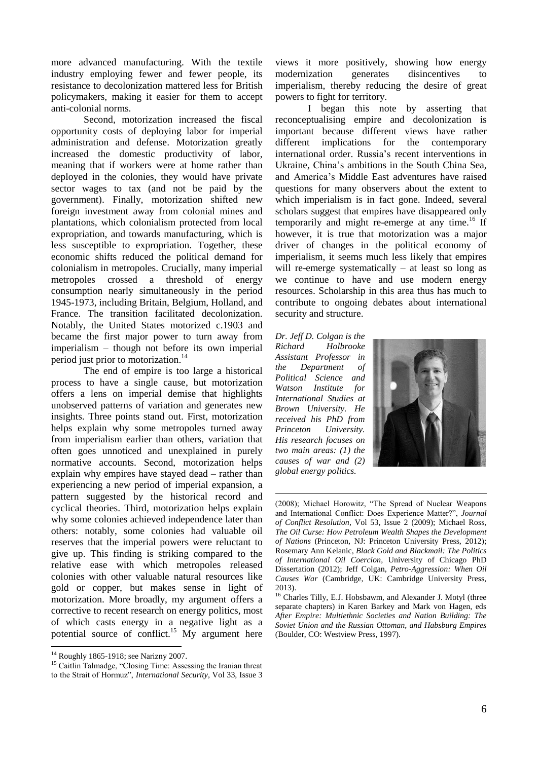more advanced manufacturing. With the textile industry employing fewer and fewer people, its resistance to decolonization mattered less for British policymakers, making it easier for them to accept anti-colonial norms.

Second, motorization increased the fiscal opportunity costs of deploying labor for imperial administration and defense. Motorization greatly increased the domestic productivity of labor, meaning that if workers were at home rather than deployed in the colonies, they would have private sector wages to tax (and not be paid by the government). Finally, motorization shifted new foreign investment away from colonial mines and plantations, which colonialism protected from local expropriation, and towards manufacturing, which is less susceptible to expropriation. Together, these economic shifts reduced the political demand for colonialism in metropoles. Crucially, many imperial metropoles crossed a threshold of energy consumption nearly simultaneously in the period 1945-1973, including Britain, Belgium, Holland, and France. The transition facilitated decolonization. Notably, the United States motorized c.1903 and became the first major power to turn away from imperialism – though not before its own imperial period just prior to motorization.<sup>14</sup>

The end of empire is too large a historical process to have a single cause, but motorization offers a lens on imperial demise that highlights unobserved patterns of variation and generates new insights. Three points stand out. First, motorization helps explain why some metropoles turned away from imperialism earlier than others, variation that often goes unnoticed and unexplained in purely normative accounts. Second, motorization helps explain why empires have stayed dead – rather than experiencing a new period of imperial expansion, a pattern suggested by the historical record and cyclical theories. Third, motorization helps explain why some colonies achieved independence later than others: notably, some colonies had valuable oil reserves that the imperial powers were reluctant to give up. This finding is striking compared to the relative ease with which metropoles released colonies with other valuable natural resources like gold or copper, but makes sense in light of motorization. More broadly, my argument offers a corrective to recent research on energy politics, most of which casts energy in a negative light as a potential source of conflict.<sup>15</sup> My argument here

1

views it more positively, showing how energy modernization generates disincentives to imperialism, thereby reducing the desire of great powers to fight for territory.

I began this note by asserting that reconceptualising empire and decolonization is important because different views have rather different implications for the contemporary international order. Russia's recent interventions in Ukraine, China's ambitions in the South China Sea, and America's Middle East adventures have raised questions for many observers about the extent to which imperialism is in fact gone. Indeed, several scholars suggest that empires have disappeared only temporarily and might re-emerge at any time.<sup>16</sup> If however, it is true that motorization was a major driver of changes in the political economy of imperialism, it seems much less likely that empires will re-emerge systematically – at least so long as we continue to have and use modern energy resources. Scholarship in this area thus has much to contribute to ongoing debates about international security and structure.

*Dr. Jeff D. Colgan is the Richard Holbrooke Assistant Professor in the Department of Political Science and Watson Institute for International Studies at Brown University. He received his PhD from Princeton University. His research focuses on two main areas: (1) the causes of war and (2) global energy politics.*

1



<sup>(2008);</sup> Michael Horowitz, "The Spread of Nuclear Weapons and International Conflict: Does Experience Matter?", *Journal of Conflict Resolution*, Vol 53, Issue 2 (2009); Michael Ross, *The Oil Curse: How Petroleum Wealth Shapes the Development of Nations* (Princeton, NJ: Princeton University Press, 2012); Rosemary Ann Kelanic, *Black Gold and Blackmail: The Politics of International Oil Coercion*, University of Chicago PhD Dissertation (2012); Jeff Colgan, *Petro-Aggression: When Oil Causes War* (Cambridge, UK: Cambridge University Press, 2013).

<sup>14</sup> Roughly 1865-1918; see Narizny 2007.

<sup>&</sup>lt;sup>15</sup> Caitlin Talmadge, "Closing Time: Assessing the Iranian threat to the Strait of Hormuz", *International Security*, Vol 33, Issue 3

<sup>&</sup>lt;sup>16</sup> Charles Tilly, E.J. Hobsbawm, and Alexander J. Motyl (three separate chapters) in Karen Barkey and Mark von Hagen, eds *After Empire: Multiethnic Societies and Nation Building: The Soviet Union and the Russian Ottoman, and Habsburg Empires* (Boulder, CO: Westview Press, 1997).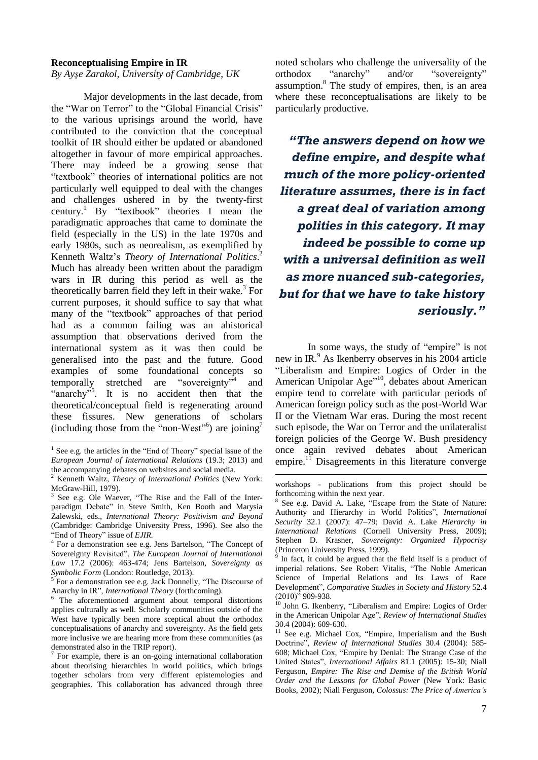#### **Reconceptualising Empire in IR**

*By Ayşe Zarakol, University of Cambridge, UK*

Major developments in the last decade, from the "War on Terror" to the "Global Financial Crisis" to the various uprisings around the world, have contributed to the conviction that the conceptual toolkit of IR should either be updated or abandoned altogether in favour of more empirical approaches. There may indeed be a growing sense that "textbook" theories of international politics are not particularly well equipped to deal with the changes and challenges ushered in by the twenty-first century.<sup>1</sup> By "textbook" theories I mean the paradigmatic approaches that came to dominate the field (especially in the US) in the late 1970s and early 1980s, such as neorealism, as exemplified by Kenneth Waltz's *Theory of International Politics*. 2 Much has already been written about the paradigm wars in IR during this period as well as the theoretically barren field they left in their wake.<sup>3</sup> For current purposes, it should suffice to say that what many of the "textbook" approaches of that period had as a common failing was an ahistorical assumption that observations derived from the international system as it was then could be generalised into the past and the future. Good examples of some foundational concepts so temporally stretched are "sovereignty"<sup>4</sup> and "anarchy"<sup>5</sup>. It is no accident then that the theoretical/conceptual field is regenerating around these fissures. New generations of scholars (including those from the "non-West"<sup>6</sup>) are joining<sup>7</sup>

<u>.</u>

noted scholars who challenge the universality of the orthodox "anarchy" and/or "sovereignty" assumption. $8$  The study of empires, then, is an area where these reconceptualisations are likely to be particularly productive.

*"The answers depend on how we define empire, and despite what much of the more policy-oriented literature assumes, there is in fact a great deal of variation among polities in this category. It may indeed be possible to come up with a universal definition as well as more nuanced sub-categories, but for that we have to take history seriously."* 

In some ways, the study of "empire" is not new in IR.<sup>9</sup> As Ikenberry observes in his 2004 article "Liberalism and Empire: Logics of Order in the American Unipolar Age"<sup>10</sup>, debates about American empire tend to correlate with particular periods of American foreign policy such as the post-World War II or the Vietnam War eras. During the most recent such episode, the War on Terror and the unilateralist foreign policies of the George W. Bush presidency once again revived debates about American empire. $\frac{1}{1}$  Disagreements in this literature converge

<u>.</u>

<sup>&</sup>lt;sup>1</sup> See e.g. the articles in the "End of Theory" special issue of the *European Journal of International Relations* (19.3; 2013) and the accompanying debates on websites and social media.

<sup>2</sup> Kenneth Waltz, *Theory of International Politics* (New York: McGraw-Hill, 1979).

<sup>3</sup> See e.g. Ole Waever, "The Rise and the Fall of the Interparadigm Debate" in Steve Smith, Ken Booth and Marysia Zalewski, eds., *International Theory: Positivism and Beyond* (Cambridge: Cambridge University Press, 1996). See also the "End of Theory" issue of *EJIR.*

<sup>4</sup> For a demonstration see e.g. Jens Bartelson, "The Concept of Sovereignty Revisited", *The European Journal of International Law* 17.2 (2006): 463-474; Jens Bartelson, *Sovereignty as Symbolic Form* (London: Routledge, 2013).

<sup>5</sup> For a demonstration see e.g. Jack Donnelly, "The Discourse of Anarchy in IR", *International Theory* (forthcoming).

<sup>6</sup> The aforementioned argument about temporal distortions applies culturally as well. Scholarly communities outside of the West have typically been more sceptical about the orthodox conceptualisations of anarchy and sovereignty. As the field gets more inclusive we are hearing more from these communities (as demonstrated also in the TRIP report).

<sup>7</sup> For example, there is an on-going international collaboration about theorising hierarchies in world politics, which brings together scholars from very different epistemologies and geographies. This collaboration has advanced through three

workshops - publications from this project should be forthcoming within the next year.

<sup>8</sup> See e.g. David A. Lake, "Escape from the State of Nature: Authority and Hierarchy in World Politics", *International Security* 32.1 (2007): 47–79; David A. Lake *Hierarchy in International Relations* (Cornell University Press, 2009); Stephen D. Krasner, *Sovereignty: Organized Hypocrisy* (Princeton University Press, 1999).

<sup>&</sup>lt;sup>9</sup> In fact, it could be argued that the field itself is a product of imperial relations. See Robert Vitalis, "The Noble American Science of Imperial Relations and Its Laws of Race Development", *Comparative Studies in Society and History* 52.4  $(2010)^{\frac{1}{2}}$  909-938.

<sup>&</sup>lt;sup>10</sup> John G. Ikenberry, "Liberalism and Empire: Logics of Order in the American Unipolar Age", *Review of International Studies* 30.4 (2004): 609-630.

<sup>&</sup>lt;sup>11</sup> See e.g. Michael Cox, "Empire, Imperialism and the Bush Doctrine", *Review of International Studies* 30.4 (2004): 585- 608; Michael Cox, "Empire by Denial: The Strange Case of the United States", *International Affairs* 81.1 (2005): 15-30; Niall Ferguson, *Empire: The Rise and Demise of the British World Order and the Lessons for Global Power* (New York: Basic Books, 2002); Niall Ferguson, *Colossus: The Price of America's*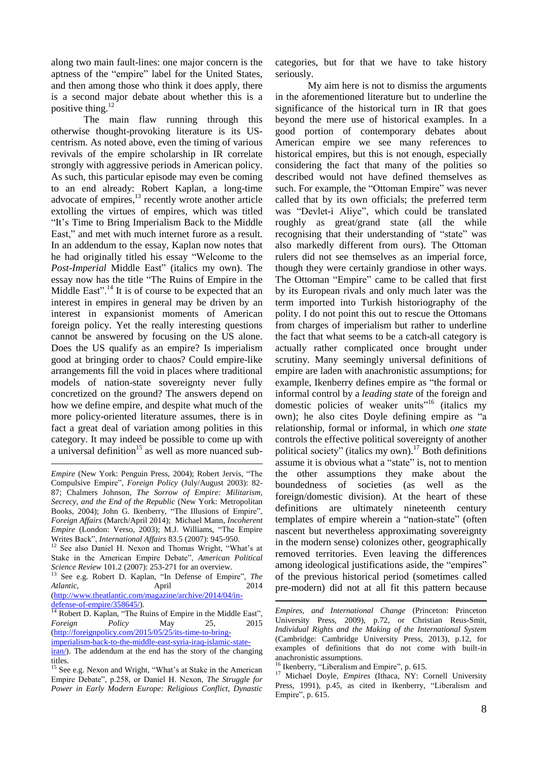along two main fault-lines: one major concern is the aptness of the "empire" label for the United States, and then among those who think it does apply, there is a second major debate about whether this is a positive thing. $^{12}$ 

The main flaw running through this otherwise thought-provoking literature is its UScentrism. As noted above, even the timing of various revivals of the empire scholarship in IR correlate strongly with aggressive periods in American policy. As such, this particular episode may even be coming to an end already: Robert Kaplan, a long-time advocate of empires, $13$  recently wrote another article extolling the virtues of empires, which was titled "It's Time to Bring Imperialism Back to the Middle East," and met with much internet furore as a result. In an addendum to the essay, Kaplan now notes that he had originally titled his essay "Welcome to the *Post-Imperial* Middle East" (italics my own). The essay now has the title "The Ruins of Empire in the Middle East".<sup>14</sup> It is of course to be expected that an interest in empires in general may be driven by an interest in expansionist moments of American foreign policy. Yet the really interesting questions cannot be answered by focusing on the US alone. Does the US qualify as an empire? Is imperialism good at bringing order to chaos? Could empire-like arrangements fill the void in places where traditional models of nation-state sovereignty never fully concretized on the ground? The answers depend on how we define empire, and despite what much of the more policy-oriented literature assumes, there is in fact a great deal of variation among polities in this category. It may indeed be possible to come up with a universal definition<sup>15</sup> as well as more nuanced sub-

[defense-of-empire/358645/\)](http://www.theatlantic.com/magazine/archive/2014/04/in-defense-of-empire/358645/).

<sup>14</sup> Robert D. Kaplan, "The Ruins of Empire in the Middle East", *Foreign Policy* May 25, 2015 [\(http://foreignpolicy.com/2015/05/25/its-time-to-bring](http://foreignpolicy.com/2015/05/25/its-time-to-bring-imperialism-back-to-the-middle-east-syria-iraq-islamic-state-iran/)[imperialism-back-to-the-middle-east-syria-iraq-islamic-state-](http://foreignpolicy.com/2015/05/25/its-time-to-bring-imperialism-back-to-the-middle-east-syria-iraq-islamic-state-iran/) categories, but for that we have to take history seriously.

My aim here is not to dismiss the arguments in the aforementioned literature but to underline the significance of the historical turn in IR that goes beyond the mere use of historical examples. In a good portion of contemporary debates about American empire we see many references to historical empires, but this is not enough, especially considering the fact that many of the polities so described would not have defined themselves as such. For example, the "Ottoman Empire" was never called that by its own officials; the preferred term was "Devlet-i Aliye", which could be translated roughly as great/grand state (all the while recognising that their understanding of "state" was also markedly different from ours). The Ottoman rulers did not see themselves as an imperial force, though they were certainly grandiose in other ways. The Ottoman "Empire" came to be called that first by its European rivals and only much later was the term imported into Turkish historiography of the polity. I do not point this out to rescue the Ottomans from charges of imperialism but rather to underline the fact that what seems to be a catch-all category is actually rather complicated once brought under scrutiny. Many seemingly universal definitions of empire are laden with anachronistic assumptions; for example, Ikenberry defines empire as "the formal or informal control by a *leading state* of the foreign and domestic policies of weaker units<sup>"16</sup> (italics my own); he also cites Doyle defining empire as "a relationship, formal or informal, in which *one state* controls the effective political sovereignty of another political society" (italics my own).<sup>17</sup> Both definitions assume it is obvious what a "state" is, not to mention the other assumptions they make about the boundedness of societies (as well as the foreign/domestic division). At the heart of these definitions are ultimately nineteenth century templates of empire wherein a "nation-state" (often nascent but nevertheless approximating sovereignty in the modern sense) colonizes other, geographically removed territories. Even leaving the differences among ideological justifications aside, the "empires" of the previous historical period (sometimes called pre-modern) did not at all fit this pattern because

1

<sup>1</sup> *Empire* (New York: Penguin Press, 2004); Robert Jervis, "The Compulsive Empire", *Foreign Policy* (July/August 2003): 82- 87; Chalmers Johnson, *The Sorrow of Empire: Militarism, Secrecy, and the End of the Republic* (New York: Metropolitan Books, 2004); John G. Ikenberry, "The Illusions of Empire", *Foreign Affairs* (March/April 2014); Michael Mann, *Incoherent Empire* (London: Verso, 2003); M.J. Williams, "The Empire Writes Back", *International Affairs* 83.5 (2007): 945-950.

<sup>12</sup> See also Daniel H. Nexon and Thomas Wright, "What's at Stake in the American Empire Debate", *American Political Science Review* 101.2 (2007): 253-271 for an overview.

<sup>13</sup> See e.g. Robert D. Kaplan, "In Defense of Empire", *The Atlantic,* April 2014 [\(http://www.theatlantic.com/magazine/archive/2014/04/in-](http://www.theatlantic.com/magazine/archive/2014/04/in-defense-of-empire/358645/)

[iran/\)](http://foreignpolicy.com/2015/05/25/its-time-to-bring-imperialism-back-to-the-middle-east-syria-iraq-islamic-state-iran/). The addendum at the end has the story of the changing titles.

<sup>&</sup>lt;sup>15</sup> See e.g. Nexon and Wright, "What's at Stake in the American Empire Debate", p.258, or Daniel H. Nexon, *The Struggle for Power in Early Modern Europe: Religious Conflict, Dynastic* 

*Empires, and International Change* (Princeton: Princeton University Press, 2009), p.72, or Christian Reus-Smit, *Individual Rights and the Making of the International System* (Cambridge: Cambridge University Press, 2013), p.12, for examples of definitions that do not come with built-in anachronistic assumptions.

<sup>&</sup>lt;sup>16</sup> Ikenberry, "Liberalism and Empire", p. 615.

<sup>&</sup>lt;sup>17</sup> Michael Doyle, *Empires* (Ithaca, NY: Cornell University Press, 1991), p.45, as cited in Ikenberry, "Liberalism and Empire", p. 615.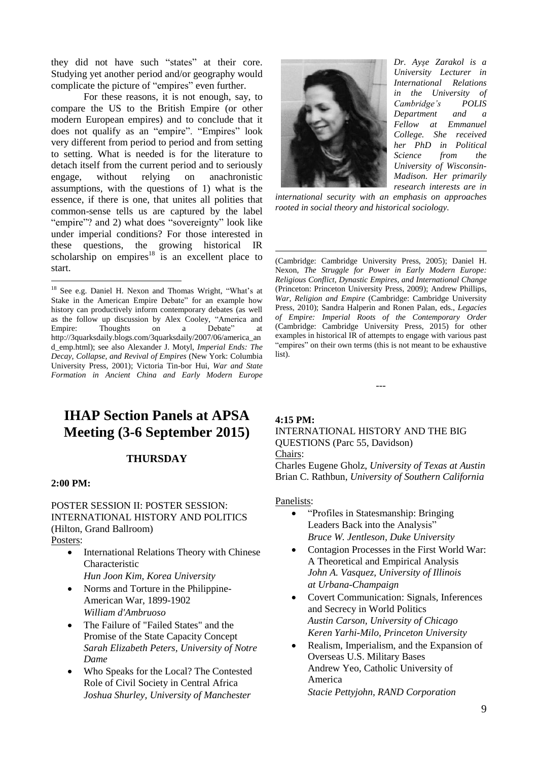they did not have such "states" at their core. Studying yet another period and/or geography would complicate the picture of "empires" even further.

For these reasons, it is not enough, say, to compare the US to the British Empire (or other modern European empires) and to conclude that it does not qualify as an "empire". "Empires" look very different from period to period and from setting to setting. What is needed is for the literature to detach itself from the current period and to seriously engage, without relying on anachronistic assumptions, with the questions of 1) what is the essence, if there is one, that unites all polities that common-sense tells us are captured by the label "empire"? and 2) what does "sovereignty" look like under imperial conditions? For those interested in these questions, the growing historical IR scholarship on empires $^{18}$  is an excellent place to start.

# **IHAP Section Panels at APSA Meeting (3-6 September 2015)**

# **THURSDAY**

#### **2:00 PM:**

1

POSTER SESSION II: POSTER SESSION: INTERNATIONAL HISTORY AND POLITICS (Hilton, Grand Ballroom) Posters:

- International Relations Theory with Chinese Characteristic *Hun Joon Kim, Korea University*
- Norms and Torture in the Philippine-
- American War, 1899-1902 *William d'Ambruoso*
- The Failure of "Failed States" and the Promise of the State Capacity Concept *Sarah Elizabeth Peters, University of Notre Dame*
- Who Speaks for the Local? The Contested Role of Civil Society in Central Africa *Joshua Shurley, University of Manchester*



*Dr. Ayşe Zarakol is a University Lecturer in International Relations in the University of Cambridge's POLIS Department and a Fellow at Emmanuel College. She received her PhD in Political Science from the University of Wisconsin-Madison. Her primarily research interests are in*

*international security with an emphasis on approaches rooted in social theory and historical sociology.*

(Cambridge: Cambridge University Press, 2005); Daniel H. Nexon, *The Struggle for Power in Early Modern Europe: Religious Conflict, Dynastic Empires, and International Change* (Princeton: Princeton University Press, 2009); Andrew Phillips, *War, Religion and Empire* (Cambridge: Cambridge University Press, 2010); Sandra Halperin and Ronen Palan, eds., *Legacies of Empire: Imperial Roots of the Contemporary Order* (Cambridge: Cambridge University Press, 2015) for other examples in historical IR of attempts to engage with various past "empires" on their own terms (this is not meant to be exhaustive list).

---

**4:15 PM:**

1

INTERNATIONAL HISTORY AND THE BIG QUESTIONS (Parc 55, Davidson) Chairs:

Charles Eugene Gholz, *University of Texas at Austin* Brian C. Rathbun, *University of Southern California*

Panelists:

- "Profiles in Statesmanship: Bringing" Leaders Back into the Analysis" *Bruce W. Jentleson, Duke University*
- Contagion Processes in the First World War: A Theoretical and Empirical Analysis *John A. Vasquez, University of Illinois at Urbana-Champaign*
- Covert Communication: Signals, Inferences and Secrecy in World Politics *Austin Carson, University of Chicago Keren Yarhi-Milo, Princeton University*
- Realism, Imperialism, and the Expansion of Overseas U.S. Military Bases Andrew Yeo, Catholic University of America *Stacie Pettyjohn, RAND Corporation*

<sup>18</sup> See e.g. Daniel H. Nexon and Thomas Wright, "What's at Stake in the American Empire Debate" for an example how history can productively inform contemporary debates (as well as the follow up discussion by Alex Cooley, "America and Empire: Thoughts on a Debate" at Empire: Thoughts on a Debate" at http://3quarksdaily.blogs.com/3quarksdaily/2007/06/america\_an d\_emp.html); see also Alexander J. Motyl, *Imperial Ends: The Decay, Collapse, and Revival of Empires* (New York: Columbia University Press, 2001); Victoria Tin-bor Hui, *War and State Formation in Ancient China and Early Modern Europe*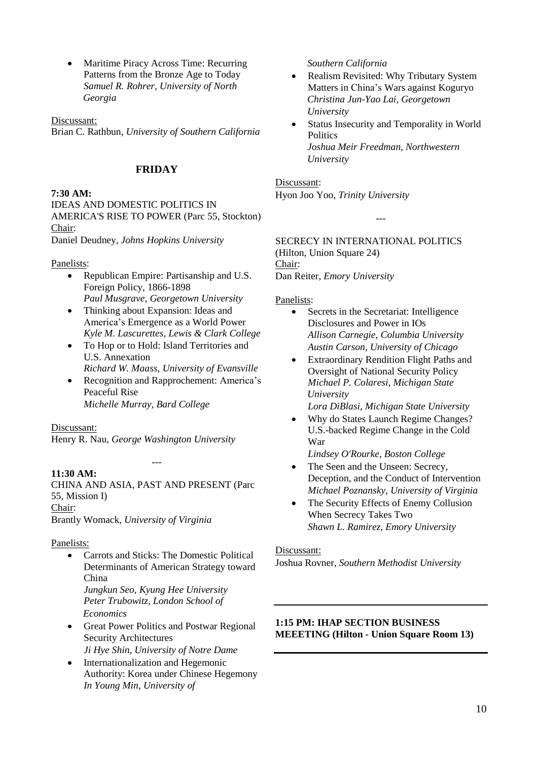• Maritime Piracy Across Time: Recurring Patterns from the Bronze Age to Today *Samuel R. Rohrer, University of North Georgia*

Discussant:

Brian C. Rathbun, *University of Southern California*

# **FRIDAY**

# **7:30 AM:**

IDEAS AND DOMESTIC POLITICS IN AMERICA'S RISE TO POWER (Parc 55, Stockton) Chair:

Daniel Deudney, *Johns Hopkins University*

# Panelists:

- Republican Empire: Partisanship and U.S. Foreign Policy, 1866-1898 *Paul Musgrave, Georgetown University*
- Thinking about Expansion: Ideas and America's Emergence as a World Power *Kyle M. Lascurettes, Lewis & Clark College*
- To Hop or to Hold: Island Territories and U.S. Annexation *Richard W. Maass, University of Evansville*
- Recognition and Rapprochement: America's Peaceful Rise *Michelle Murray, Bard College*

# Discussant:

Henry R. Nau, *George Washington University*

# **11:30 AM:**

CHINA AND ASIA, PAST AND PRESENT (Parc 55, Mission I) Chair:

---

Brantly Womack, *University of Virginia*

# Panelists:

- Carrots and Sticks: The Domestic Political Determinants of American Strategy toward China *Jungkun Seo, Kyung Hee University Peter Trubowitz, London School of Economics*
- Great Power Politics and Postwar Regional Security Architectures *Ji Hye Shin, University of Notre Dame*
- Internationalization and Hegemonic Authority: Korea under Chinese Hegemony *In Young Min, University of*

*Southern California*

- Realism Revisited: Why Tributary System Matters in China's Wars against Koguryo *Christina Jun-Yao Lai, Georgetown University*
- Status Insecurity and Temporality in World **Politics** *Joshua Meir Freedman, Northwestern University*

#### Discussant:

Hyon Joo Yoo, *Trinity University*

---

SECRECY IN INTERNATIONAL POLITICS (Hilton, Union Square 24) Chair: Dan Reiter, *Emory University*

# Panelists:

- Secrets in the Secretariat: Intelligence Disclosures and Power in IOs *Allison Carnegie, Columbia University Austin Carson, University of Chicago*
- Extraordinary Rendition Flight Paths and Oversight of National Security Policy *Michael P. Colaresi, Michigan State University Lora DiBlasi, Michigan State University*
- Why do States Launch Regime Changes? U.S.-backed Regime Change in the Cold War

*Lindsey O'Rourke, Boston College*

- The Seen and the Unseen: Secrecy, Deception, and the Conduct of Intervention *Michael Poznansky, University of Virginia*
- The Security Effects of Enemy Collusion When Secrecy Takes Two *Shawn L. Ramirez, Emory University*

# Discussant:

Joshua Rovner, *Southern Methodist University*

# **1:15 PM: IHAP SECTION BUSINESS MEEETING (Hilton - Union Square Room 13)**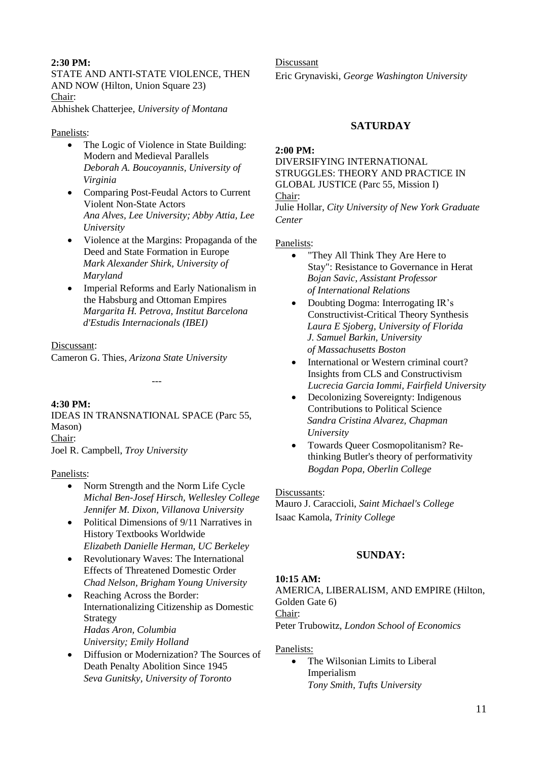# **2:30 PM:**

STATE AND ANTI-STATE VIOLENCE, THEN AND NOW (Hilton, Union Square 23) Chair: Abhishek Chatterjee, *University of Montana*

# Panelists:

- The Logic of Violence in State Building: Modern and Medieval Parallels *Deborah A. Boucoyannis, University of Virginia*
- Comparing Post-Feudal Actors to Current Violent Non-State Actors *Ana Alves, Lee University; Abby Attia, Lee University*
- Violence at the Margins: Propaganda of the Deed and State Formation in Europe *Mark Alexander Shirk, University of Maryland*
- Imperial Reforms and Early Nationalism in the Habsburg and Ottoman Empires *Margarita H. Petrova, Institut Barcelona d'Estudis Internacionals (IBEI)*

# Discussant:

Cameron G. Thies, *Arizona State University*

# **4:30 PM:**

IDEAS IN TRANSNATIONAL SPACE (Parc 55, Mason) Chair: Joel R. Campbell, *Troy University*

---

# Panelists:

- Norm Strength and the Norm Life Cycle *Michal Ben-Josef Hirsch, Wellesley College Jennifer M. Dixon, Villanova University*
- Political Dimensions of 9/11 Narratives in History Textbooks Worldwide *Elizabeth Danielle Herman, UC Berkeley*
- Revolutionary Waves: The International Effects of Threatened Domestic Order *Chad Nelson, Brigham Young University*
- Reaching Across the Border: Internationalizing Citizenship as Domestic **Strategy** *Hadas Aron, Columbia University; Emily Holland*
- Diffusion or Modernization? The Sources of Death Penalty Abolition Since 1945 *Seva Gunitsky, University of Toronto*

Discussant Eric Grynaviski, *George Washington University*

# **SATURDAY**

# **2:00 PM:**

DIVERSIFYING INTERNATIONAL STRUGGLES: THEORY AND PRACTICE IN GLOBAL JUSTICE (Parc 55, Mission I) Chair:

Julie Hollar, *City University of New York Graduate Center*

# Panelists:

- "They All Think They Are Here to Stay": Resistance to Governance in Herat *Bojan Savic, Assistant Professor of International Relations*
- Doubting Dogma: Interrogating IR's Constructivist-Critical Theory Synthesis *Laura E Sjoberg, University of Florida J. Samuel Barkin, University of Massachusetts Boston*
- International or Western criminal court? Insights from CLS and Constructivism *Lucrecia Garcia Iommi, Fairfield University*
- Decolonizing Sovereignty: Indigenous Contributions to Political Science *Sandra Cristina Alvarez, Chapman University*
- Towards Queer Cosmopolitanism? Rethinking Butler's theory of performativity *Bogdan Popa, Oberlin College*

# Discussants:

Mauro J. Caraccioli, *Saint Michael's College* Isaac Kamola, *Trinity College*

# **SUNDAY:**

# **10:15 AM:**

AMERICA, LIBERALISM, AND EMPIRE (Hilton, Golden Gate 6) Chair: Peter Trubowitz, *London School of Economics*

# Panelists:

• The Wilsonian Limits to Liberal Imperialism *Tony Smith, Tufts University*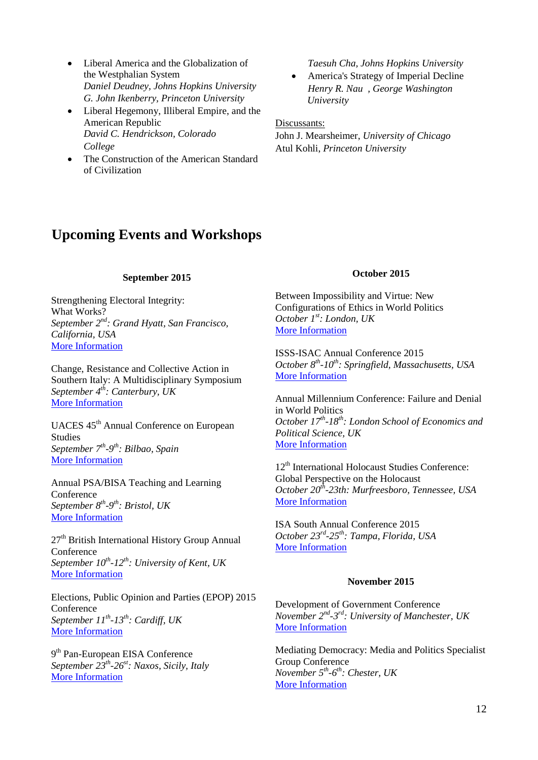- Liberal America and the Globalization of the Westphalian System *Daniel Deudney, Johns Hopkins University G. John Ikenberry, Princeton University*
- Liberal Hegemony, Illiberal Empire, and the American Republic *David C. Hendrickson, Colorado College*
- The Construction of the American Standard of Civilization

*Taesuh Cha, Johns Hopkins University*

 America's Strategy of Imperial Decline *Henry R. Nau , George Washington University*

Discussants:

John J. Mearsheimer, *University of Chicago* Atul Kohli, *Princeton University*

# **Upcoming Events and Workshops**

#### **September 2015**

Strengthening Electoral Integrity: What Works? *September 2 nd : Grand Hyatt, San Francisco, California, USA* More [Information](https://sites.google.com/site/electoralintegrityproject4/events-1/san-francisco-sept-2015)

Change, Resistance and Collective Action in Southern Italy: A Multidisciplinary Symposium *September 4 th : Canterbury, UK* More [Information](http://inspr.eu/event-info/sisymposium/)

UACES 45th Annual Conference on European Studies *September 7 th -9 th : Bilbao, Spain* More [Information](http://uaces.org/events/conferences/bilbao/)

Annual PSA/BISA Teaching and Learning Conference *September 8 th -9 th : Bristol, UK* More [Information](https://www.psa.ac.uk/events/annual-psa/bisa-teaching-and-learning-conference-2015)

 $27<sup>th</sup>$  British International History Group Annual Conference *September 10th -12th : University of Kent, UK* More [Information](http://www.bihg.ac.uk/Conferences/Conference2015.aspx)

Elections, Public Opinion and Parties (EPOP) 2015 Conference *September 11th -13th : Cardiff, UK* More [Information](http://sites.cardiff.ac.uk/epop2015/)

9<sup>th</sup> Pan-European EISA Conference *September 23th -26st : Naxos, Sicily, Italy* More [Information](http://www.paneuropeanconference.org/2015/)

#### **October 2015**

Between Impossibility and Virtue: New Configurations of Ethics in World Politics *October 1 st : London, UK* More [Information](https://www.psa.ac.uk/events/between-impossibility-and-virtue-new-configurations-ethics-world-politics)

ISSS-ISAC Annual Conference 2015 *October 8 th -10th : Springfield, Massachusetts, USA* More [Information](http://www.isanet.org/Conferences/ISSS-ISAC-Springfield-2015)

Annual Millennium Conference: Failure and Denial in World Politics *October 17th -18th : London School of Economics and Political Science, UK* More [Information](http://www.lse.ac.uk/internationalRelations/Journals/millenn/Millennium%20Annual%20Conference.aspx)

12<sup>th</sup> International Holocaust Studies Conference: Global Perspective on the Holocaust *October 20th -23th: Murfreesboro, Tennessee, USA* More [Information](http://www.mtsu.edu/holocaust_studies/conference.php)

ISA South Annual Conference 2015 *October 23rd -25th : Tampa, Florida, USA* More [Information](http://www.isanet.org/News/ID/4653/ISA-South-2015-Conference-Announced)

# **November 2015**

Development of Government Conference *November 2 nd -3 rd : University of Manchester, UK* More [Information](https://www.psa.ac.uk/events/development-government-conference)

Mediating Democracy: Media and Politics Specialist Group Conference *November 5 th -6 th : Chester, UK* More [Information](http://www.chester.ac.uk/media/research/psa-mpg/call-for-papers)